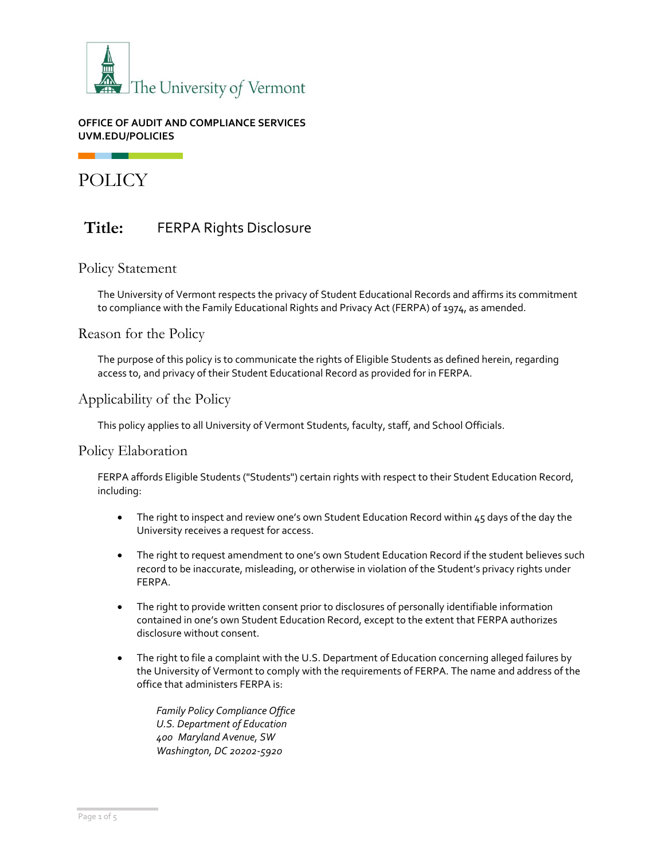

### **OFFICE OF AUDIT AND COMPLIANCE SERVICES UVM.EDU/POLICIES**

POLICY

# **Title:** FERPA Rights Disclosure

# Policy Statement

The University of Vermont respects the privacy of Student Educational Records and affirms its commitment to compliance with the Family Educational Rights and Privacy Act (FERPA) of 1974, as amended.

Reason for the Policy

The purpose of this policy is to communicate the rights of Eligible Students as defined herein, regarding access to, and privacy of their Student Educational Record as provided for in FERPA.

# Applicability of the Policy

This policy applies to all University of Vermont Students, faculty, staff, and School Officials.

## Policy Elaboration

FERPA affords Eligible Students ("Students") certain rights with respect to their Student Education Record, including:

- The right to inspect and review one's own Student Education Record within 45 days of the day the University receives a request for access.
- The right to request amendment to one's own Student Education Record if the student believes such record to be inaccurate, misleading, or otherwise in violation of the Student's privacy rights under FERPA.
- The right to provide written consent prior to disclosures of personally identifiable information contained in one's own Student Education Record, except to the extent that FERPA authorizes disclosure without consent.
- The right to file a complaint with the U.S. Department of Education concerning alleged failures by the University of Vermont to comply with the requirements of FERPA. The name and address of the office that administers FERPA is:

*Family Policy Compliance Office U.S. Department of Education 400 Maryland Avenue, SW Washington, DC 20202-5920*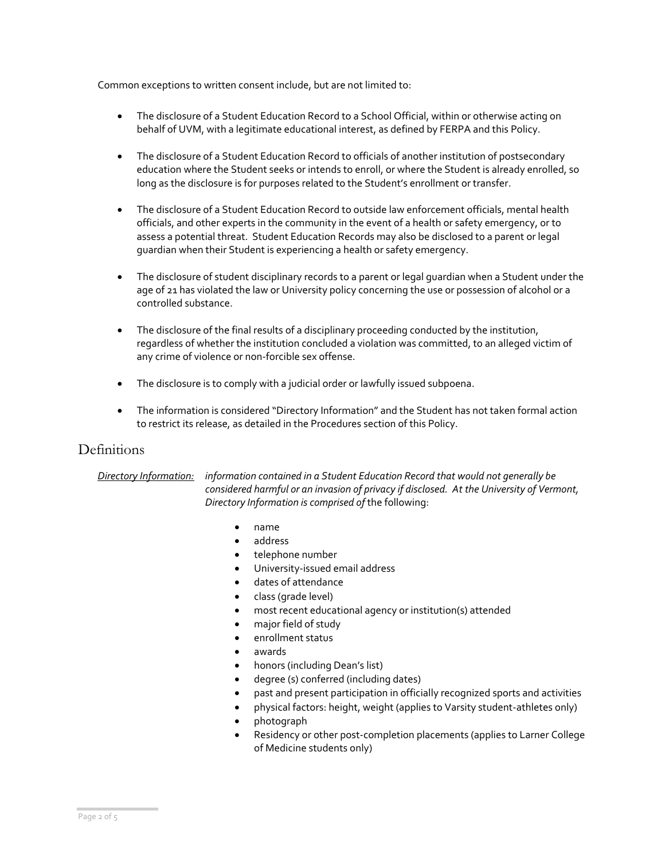Common exceptions to written consent include, but are not limited to:

- The disclosure of a Student Education Record to a School Official, within or otherwise acting on behalf of UVM, with a legitimate educational interest, as defined by FERPA and this Policy.
- The disclosure of a Student Education Record to officials of another institution of postsecondary education where the Student seeks or intends to enroll, or where the Student is already enrolled, so long as the disclosure is for purposes related to the Student's enrollment or transfer.
- The disclosure of a Student Education Record to outside law enforcement officials, mental health officials, and other experts in the community in the event of a health or safety emergency, or to assess a potential threat. Student Education Records may also be disclosed to a parent or legal guardian when their Student is experiencing a health or safety emergency.
- The disclosure of student disciplinary records to a parent or legal guardian when a Student under the age of 21 has violated the law or University policy concerning the use or possession of alcohol or a controlled substance.
- The disclosure of the final results of a disciplinary proceeding conducted by the institution, regardless of whether the institution concluded a violation was committed, to an alleged victim of any crime of violence or non-forcible sex offense.
- The disclosure is to comply with a judicial order or lawfully issued subpoena.
- The information is considered "Directory Information" and the Student has not taken formal action to restrict its release, as detailed in the Procedures section of this Policy.

# Definitions

*Directory Information: information contained in a Student Education Record that would not generally be considered harmful or an invasion of privacy if disclosed. At the University of Vermont, Directory Information is comprised of* the following:

- name
- address
- telephone number
- University-issued email address
- dates of attendance
- class (grade level)
- most recent educational agency or institution(s) attended
- major field of study
- enrollment status
- awards
- honors (including Dean's list)
- degree (s) conferred (including dates)
- past and present participation in officially recognized sports and activities
- physical factors: height, weight (applies to Varsity student-athletes only)
- photograph
- Residency or other post-completion placements (applies to Larner College of Medicine students only)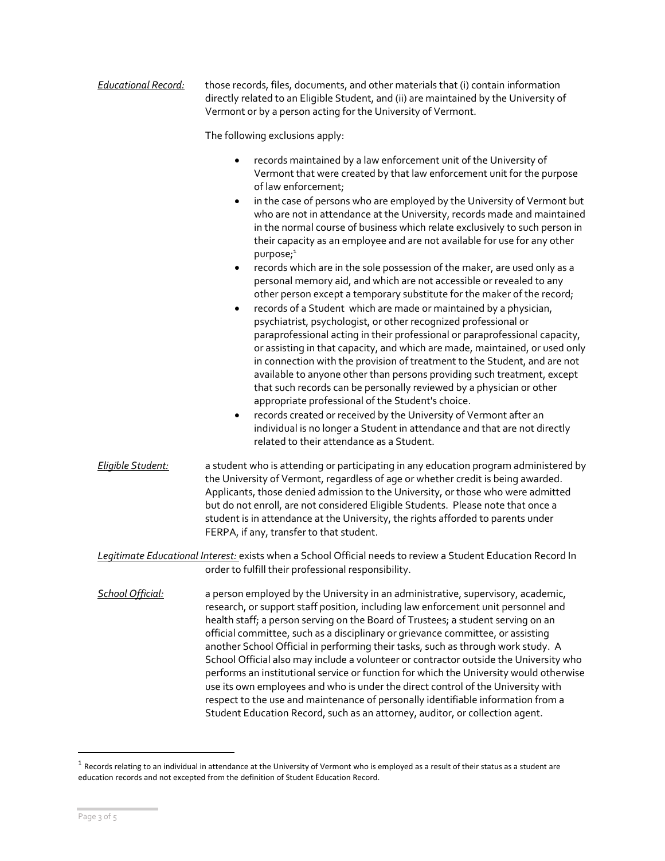| <b>Educational Record:</b>                                                                                                                                          | those records, files, documents, and other materials that (i) contain information<br>directly related to an Eligible Student, and (ii) are maintained by the University of<br>Vermont or by a person acting for the University of Vermont.                                                                                                                                                                                                                                                                                                                                                                                                                                                                                                                                                                                                                                                                                                                                                                                                                                                                                                                                                                                                                                                                                                                                                                                                                                                                                                            |  |  |  |
|---------------------------------------------------------------------------------------------------------------------------------------------------------------------|-------------------------------------------------------------------------------------------------------------------------------------------------------------------------------------------------------------------------------------------------------------------------------------------------------------------------------------------------------------------------------------------------------------------------------------------------------------------------------------------------------------------------------------------------------------------------------------------------------------------------------------------------------------------------------------------------------------------------------------------------------------------------------------------------------------------------------------------------------------------------------------------------------------------------------------------------------------------------------------------------------------------------------------------------------------------------------------------------------------------------------------------------------------------------------------------------------------------------------------------------------------------------------------------------------------------------------------------------------------------------------------------------------------------------------------------------------------------------------------------------------------------------------------------------------|--|--|--|
|                                                                                                                                                                     | The following exclusions apply:                                                                                                                                                                                                                                                                                                                                                                                                                                                                                                                                                                                                                                                                                                                                                                                                                                                                                                                                                                                                                                                                                                                                                                                                                                                                                                                                                                                                                                                                                                                       |  |  |  |
|                                                                                                                                                                     | records maintained by a law enforcement unit of the University of<br>٠<br>Vermont that were created by that law enforcement unit for the purpose<br>of law enforcement;<br>in the case of persons who are employed by the University of Vermont but<br>$\bullet$<br>who are not in attendance at the University, records made and maintained<br>in the normal course of business which relate exclusively to such person in<br>their capacity as an employee and are not available for use for any other<br>purpose; <sup>1</sup><br>records which are in the sole possession of the maker, are used only as a<br>$\bullet$<br>personal memory aid, and which are not accessible or revealed to any<br>other person except a temporary substitute for the maker of the record;<br>records of a Student which are made or maintained by a physician,<br>$\bullet$<br>psychiatrist, psychologist, or other recognized professional or<br>paraprofessional acting in their professional or paraprofessional capacity,<br>or assisting in that capacity, and which are made, maintained, or used only<br>in connection with the provision of treatment to the Student, and are not<br>available to anyone other than persons providing such treatment, except<br>that such records can be personally reviewed by a physician or other<br>appropriate professional of the Student's choice.<br>records created or received by the University of Vermont after an<br>$\bullet$<br>individual is no longer a Student in attendance and that are not directly |  |  |  |
|                                                                                                                                                                     | related to their attendance as a Student.                                                                                                                                                                                                                                                                                                                                                                                                                                                                                                                                                                                                                                                                                                                                                                                                                                                                                                                                                                                                                                                                                                                                                                                                                                                                                                                                                                                                                                                                                                             |  |  |  |
| Eligible Student:                                                                                                                                                   | a student who is attending or participating in any education program administered by<br>the University of Vermont, regardless of age or whether credit is being awarded.<br>Applicants, those denied admission to the University, or those who were admitted<br>but do not enroll, are not considered Eligible Students. Please note that once a<br>student is in attendance at the University, the rights afforded to parents under<br>FERPA, if any, transfer to that student.                                                                                                                                                                                                                                                                                                                                                                                                                                                                                                                                                                                                                                                                                                                                                                                                                                                                                                                                                                                                                                                                      |  |  |  |
| Legitimate Educational Interest: exists when a School Official needs to review a Student Education Record In<br>order to fulfill their professional responsibility. |                                                                                                                                                                                                                                                                                                                                                                                                                                                                                                                                                                                                                                                                                                                                                                                                                                                                                                                                                                                                                                                                                                                                                                                                                                                                                                                                                                                                                                                                                                                                                       |  |  |  |
| School Official:                                                                                                                                                    | a person employed by the University in an administrative, supervisory, academic,<br>research, or support staff position, including law enforcement unit personnel and<br>health staff; a person serving on the Board of Trustees; a student serving on an<br>official committee, such as a disciplinary or grievance committee, or assisting<br>another School Official in performing their tasks, such as through work study. A<br>School Official also may include a volunteer or contractor outside the University who<br>performs an institutional service or function for which the University would otherwise<br>use its own employees and who is under the direct control of the University with<br>respect to the use and maintenance of personally identifiable information from a<br>Student Education Record, such as an attorney, auditor, or collection agent.                                                                                                                                                                                                                                                                                                                                                                                                                                                                                                                                                                                                                                                                           |  |  |  |

 $^{\rm 1}$  Records relating to an individual in attendance at the University of Vermont who is employed as a result of their status as a student are education records and not excepted from the definition of Student Education Record.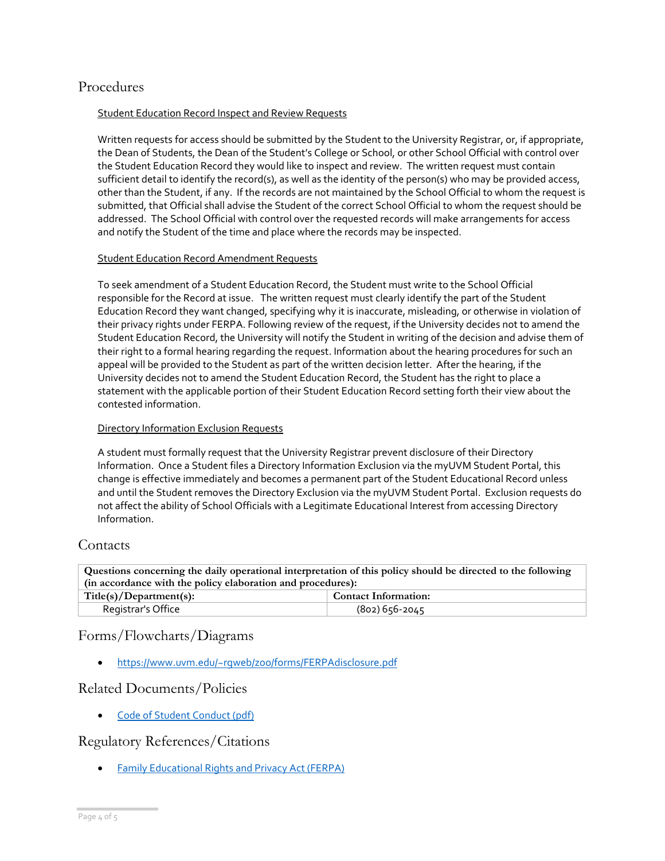# Procedures

#### Student Education Record Inspect and Review Requests

Written requests for access should be submitted by the Student to the University Registrar, or, if appropriate, the Dean of Students, the Dean of the Student's College or School, or other School Official with control over the Student Education Record they would like to inspect and review. The written request must contain sufficient detail to identify the record(s), as well as the identity of the person(s) who may be provided access, other than the Student, if any. If the records are not maintained by the School Official to whom the request is submitted, that Official shall advise the Student of the correct School Official to whom the request should be addressed. The School Official with control over the requested records will make arrangements for access and notify the Student of the time and place where the records may be inspected.

#### Student Education Record Amendment Requests

To seek amendment of a Student Education Record, the Student must write to the School Official responsible for the Record at issue. The written request must clearly identify the part of the Student Education Record they want changed, specifying why it is inaccurate, misleading, or otherwise in violation of their privacy rights under FERPA. Following review of the request, if the University decides not to amend the Student Education Record, the University will notify the Student in writing of the decision and advise them of their right to a formal hearing regarding the request. Information about the hearing procedures for such an appeal will be provided to the Student as part of the written decision letter. After the hearing, if the University decides not to amend the Student Education Record, the Student has the right to place a statement with the applicable portion of their Student Education Record setting forth their view about the contested information.

### Directory Information Exclusion Requests

A student must formally request that the University Registrar prevent disclosure of their Directory Information. Once a Student files a Directory Information Exclusion via the myUVM Student Portal, this change is effective immediately and becomes a permanent part of the Student Educational Record unless and until the Student removes the Directory Exclusion via the myUVM Student Portal. Exclusion requests do not affect the ability of School Officials with a Legitimate Educational Interest from accessing Directory Information.

## Contacts

**Questions concerning the daily operational interpretation of this policy should be directed to the following (in accordance with the policy elaboration and procedures):**

| Title(s)/Department(s): | <b>Contact Information:</b> |  |
|-------------------------|-----------------------------|--|
| Registrar's Office      | (802) 656-2045              |  |

# Forms/Flowcharts/Diagrams

• <https://www.uvm.edu/~rgweb/zoo/forms/FERPAdisclosure.pdf>

## Related Documents/Policies

[Code of Student Conduct \(pdf\)](https://www.uvm.edu/sites/default/files/UVM-Policies/policies/studentcode.pdf)

# Regulatory References/Citations

**[Family Educational Rights and Privacy Act \(FERPA\)](http://www2.ed.gov/policy/gen/guid/fpco/ferpa/index.html)**